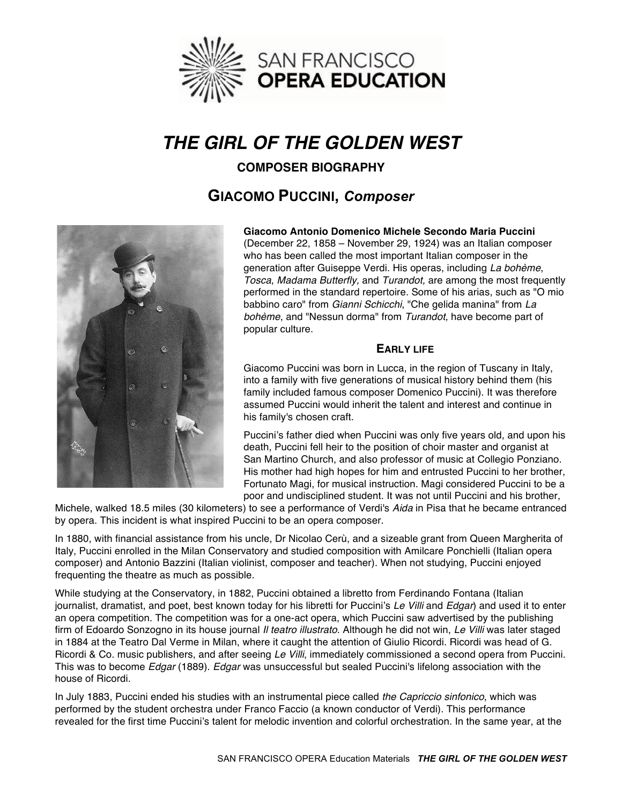

# *THE GIRL OF THE GOLDEN WEST*

# **COMPOSER BIOGRAPHY**

# **GIACOMO PUCCINI,** *Composer*



**Giacomo Antonio Domenico Michele Secondo Maria Puccini** (December 22, 1858 – November 29, 1924) was an Italian composer who has been called the most important Italian composer in the generation after Guiseppe Verdi. His operas, including *La bohème*, *Tosca*, *Madama Butterfly,* and *Turandot,* are among the most frequently performed in the standard repertoire. Some of his arias, such as "O mio babbino caro" from *Gianni Schicchi*, "Che gelida manina" from *La bohème*, and "Nessun dorma" from *Turandot,* have become part of popular culture.

#### **EARLY LIFE**

Giacomo Puccini was born in Lucca, in the region of Tuscany in Italy, into a family with five generations of musical history behind them (his family included famous composer Domenico Puccini). It was therefore assumed Puccini would inherit the talent and interest and continue in his family's chosen craft.

Puccini's father died when Puccini was only five years old, and upon his death, Puccini fell heir to the position of choir master and organist at San Martino Church, and also professor of music at Collegio Ponziano. His mother had high hopes for him and entrusted Puccini to her brother, Fortunato Magi, for musical instruction. Magi considered Puccini to be a poor and undisciplined student. It was not until Puccini and his brother,

Michele, walked 18.5 miles (30 kilometers) to see a performance of Verdi's *Aida* in Pisa that he became entranced by opera. This incident is what inspired Puccini to be an opera composer.

In 1880, with financial assistance from his uncle, Dr Nicolao Cerù, and a sizeable grant from Queen Margherita of Italy, Puccini enrolled in the Milan Conservatory and studied composition with Amilcare Ponchielli (Italian opera composer) and Antonio Bazzini (Italian violinist, composer and teacher). When not studying, Puccini enjoyed frequenting the theatre as much as possible.

While studying at the Conservatory, in 1882, Puccini obtained a libretto from Ferdinando Fontana (Italian journalist, dramatist, and poet, best known today for his libretti for Puccini's *Le Villi* and *Edgar*) and used it to enter an opera competition. The competition was for a one-act opera, which Puccini saw advertised by the publishing firm of Edoardo Sonzogno in its house journal *Il teatro illustrato*. Although he did not win, *Le Villi* was later staged in 1884 at the Teatro Dal Verme in Milan, where it caught the attention of Giulio Ricordi. Ricordi was head of G. Ricordi & Co. music publishers, and after seeing *Le Villi*, immediately commissioned a second opera from Puccini. This was to become *Edgar* (1889). *Edgar* was unsuccessful but sealed Puccini's lifelong association with the house of Ricordi.

In July 1883, Puccini ended his studies with an instrumental piece called *the Capriccio sinfonico*, which was performed by the student orchestra under Franco Faccio (a known conductor of Verdi). This performance revealed for the first time Puccini's talent for melodic invention and colorful orchestration. In the same year, at the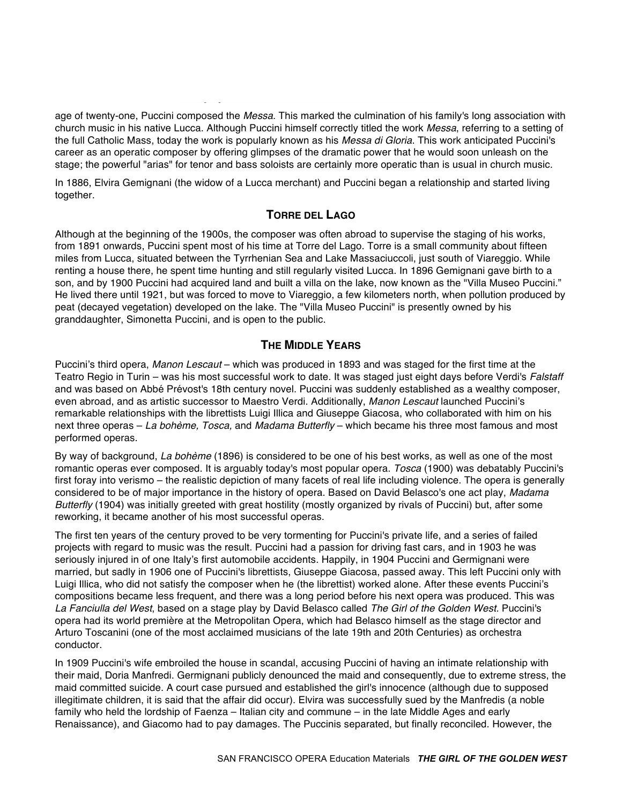age of twenty-one, Puccini composed the *Messa*. This marked the culmination of his family's long association with church music in his native Lucca. Although Puccini himself correctly titled the work *Messa*, referring to a setting of the full Catholic Mass, today the work is popularly known as his *Messa di Gloria*. This work anticipated Puccini's career as an operatic composer by offering glimpses of the dramatic power that he would soon unleash on the stage; the powerful "arias" for tenor and bass soloists are certainly more operatic than is usual in church music.

In 1886, Elvira Gemignani (the widow of a Lucca merchant) and Puccini began a relationship and started living together.

#### **TORRE DEL LAGO**

Although at the beginning of the 1900s, the composer was often abroad to supervise the staging of his works, from 1891 onwards, Puccini spent most of his time at Torre del Lago. Torre is a small community about fifteen miles from Lucca, situated between the Tyrrhenian Sea and Lake Massaciuccoli, just south of Viareggio. While renting a house there, he spent time hunting and still regularly visited Lucca. In 1896 Gemignani gave birth to a son, and by 1900 Puccini had acquired land and built a villa on the lake, now known as the "Villa Museo Puccini." He lived there until 1921, but was forced to move to Viareggio, a few kilometers north, when pollution produced by peat (decayed vegetation) developed on the lake. The "Villa Museo Puccini" is presently owned by his granddaughter, Simonetta Puccini, and is open to the public.

# **THE MIDDLE YEARS**

Puccini's third opera, *Manon Lescaut* – which was produced in 1893 and was staged for the first time at the Teatro Regio in Turin – was his most successful work to date. It was staged just eight days before Verdi's *Falstaff*  and was based on Abbé Prévost's 18th century novel. Puccini was suddenly established as a wealthy composer, even abroad, and as artistic successor to Maestro Verdi. Additionally, *Manon Lescaut* launched Puccini's remarkable relationships with the librettists Luigi Illica and Giuseppe Giacosa, who collaborated with him on his next three operas – *La bohème, Tosca,* and *Madama Butterfly* – which became his three most famous and most performed operas.

By way of background, *La bohème* (1896) is considered to be one of his best works, as well as one of the most romantic operas ever composed. It is arguably today's most popular opera. *Tosca* (1900) was debatably Puccini's first foray into verismo – the realistic depiction of many facets of real life including violence. The opera is generally considered to be of major importance in the history of opera. Based on David Belasco's one act play, *Madama Butterfly* (1904) was initially greeted with great hostility (mostly organized by rivals of Puccini) but, after some reworking, it became another of his most successful operas.

The first ten years of the century proved to be very tormenting for Puccini's private life, and a series of failed projects with regard to music was the result. Puccini had a passion for driving fast cars, and in 1903 he was seriously injured in of one Italy's first automobile accidents. Happily, in 1904 Puccini and Germignani were married, but sadly in 1906 one of Puccini's librettists, Giuseppe Giacosa, passed away. This left Puccini only with Luigi Illica, who did not satisfy the composer when he (the librettist) worked alone. After these events Puccini's compositions became less frequent, and there was a long period before his next opera was produced. This was *La Fanciulla del West*, based on a stage play by David Belasco called *The Girl of the Golden West.* Puccini's opera had its world première at the Metropolitan Opera, which had Belasco himself as the stage director and Arturo Toscanini (one of the most acclaimed musicians of the late 19th and 20th Centuries) as orchestra conductor.

In 1909 Puccini's wife embroiled the house in scandal, accusing Puccini of having an intimate relationship with their maid, Doria Manfredi. Germignani publicly denounced the maid and consequently, due to extreme stress, the maid committed suicide. A court case pursued and established the girl's innocence (although due to supposed illegitimate children, it is said that the affair did occur). Elvira was successfully sued by the Manfredis (a noble family who held the lordship of Faenza – Italian city and commune – in the late Middle Ages and early Renaissance), and Giacomo had to pay damages. The Puccinis separated, but finally reconciled. However, the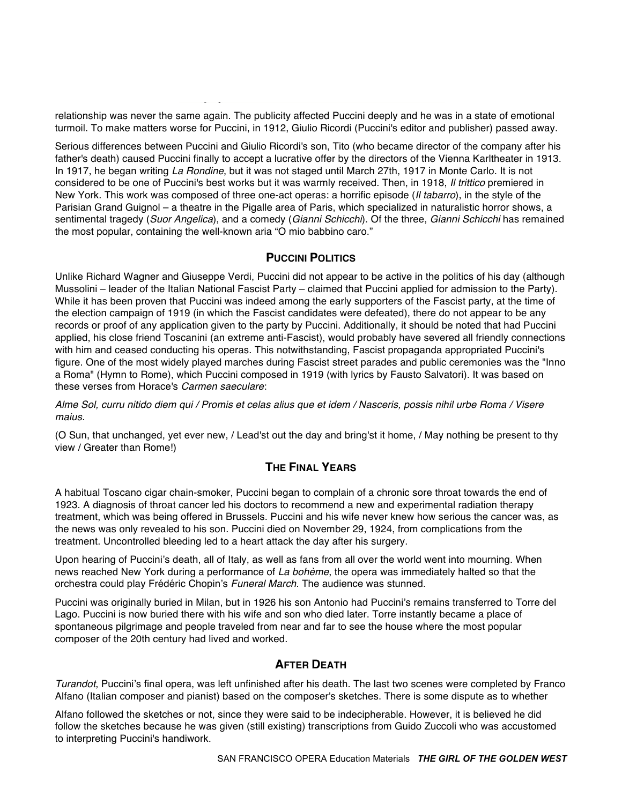relationship was never the same again. The publicity affected Puccini deeply and he was in a state of emotional turmoil. To make matters worse for Puccini, in 1912, Giulio Ricordi (Puccini's editor and publisher) passed away.

Serious differences between Puccini and Giulio Ricordi's son, Tito (who became director of the company after his father's death) caused Puccini finally to accept a lucrative offer by the directors of the Vienna Karltheater in 1913. In 1917, he began writing *La Rondine*, but it was not staged until March 27th, 1917 in Monte Carlo. It is not considered to be one of Puccini's best works but it was warmly received. Then, in 1918, *Il trittico* premiered in New York. This work was composed of three one-act operas: a horrific episode (*Il tabarro*), in the style of the Parisian Grand Guignol – a theatre in the Pigalle area of Paris, which specialized in naturalistic horror shows, a sentimental tragedy (*Suor Angelica*), and a comedy (*Gianni Schicchi*). Of the three, *Gianni Schicchi* has remained the most popular, containing the well-known aria "O mio babbino caro."

## **PUCCINI POLITICS**

Unlike Richard Wagner and Giuseppe Verdi, Puccini did not appear to be active in the politics of his day (although Mussolini – leader of the Italian National Fascist Party – claimed that Puccini applied for admission to the Party). While it has been proven that Puccini was indeed among the early supporters of the Fascist party, at the time of the election campaign of 1919 (in which the Fascist candidates were defeated), there do not appear to be any records or proof of any application given to the party by Puccini. Additionally, it should be noted that had Puccini applied, his close friend Toscanini (an extreme anti-Fascist), would probably have severed all friendly connections with him and ceased conducting his operas. This notwithstanding, Fascist propaganda appropriated Puccini's figure. One of the most widely played marches during Fascist street parades and public ceremonies was the "Inno a Roma" (Hymn to Rome), which Puccini composed in 1919 (with lyrics by Fausto Salvatori). It was based on these verses from Horace's *Carmen saeculare*:

*Alme Sol, curru nitido diem qui / Promis et celas alius que et idem / Nasceris, possis nihil urbe Roma / Visere maius.* 

(O Sun, that unchanged, yet ever new, / Lead'st out the day and bring'st it home, / May nothing be present to thy view / Greater than Rome!)

## **THE FINAL YEARS**

A habitual Toscano cigar chain-smoker, Puccini began to complain of a chronic sore throat towards the end of 1923. A diagnosis of throat cancer led his doctors to recommend a new and experimental radiation therapy treatment, which was being offered in Brussels. Puccini and his wife never knew how serious the cancer was, as the news was only revealed to his son. Puccini died on November 29, 1924, from complications from the treatment. Uncontrolled bleeding led to a heart attack the day after his surgery.

Upon hearing of Puccini's death, all of Italy, as well as fans from all over the world went into mourning. When news reached New York during a performance of *La bohème*, the opera was immediately halted so that the orchestra could play Frédéric Chopin's *Funeral March*. The audience was stunned.

Puccini was originally buried in Milan, but in 1926 his son Antonio had Puccini's remains transferred to Torre del Lago. Puccini is now buried there with his wife and son who died later. Torre instantly became a place of spontaneous pilgrimage and people traveled from near and far to see the house where the most popular composer of the 20th century had lived and worked.

# **AFTER DEATH**

*Turandot*, Puccini's final opera, was left unfinished after his death. The last two scenes were completed by Franco Alfano (Italian composer and pianist) based on the composer's sketches. There is some dispute as to whether

Alfano followed the sketches or not, since they were said to be indecipherable. However, it is believed he did follow the sketches because he was given (still existing) transcriptions from Guido Zuccoli who was accustomed to interpreting Puccini's handiwork.